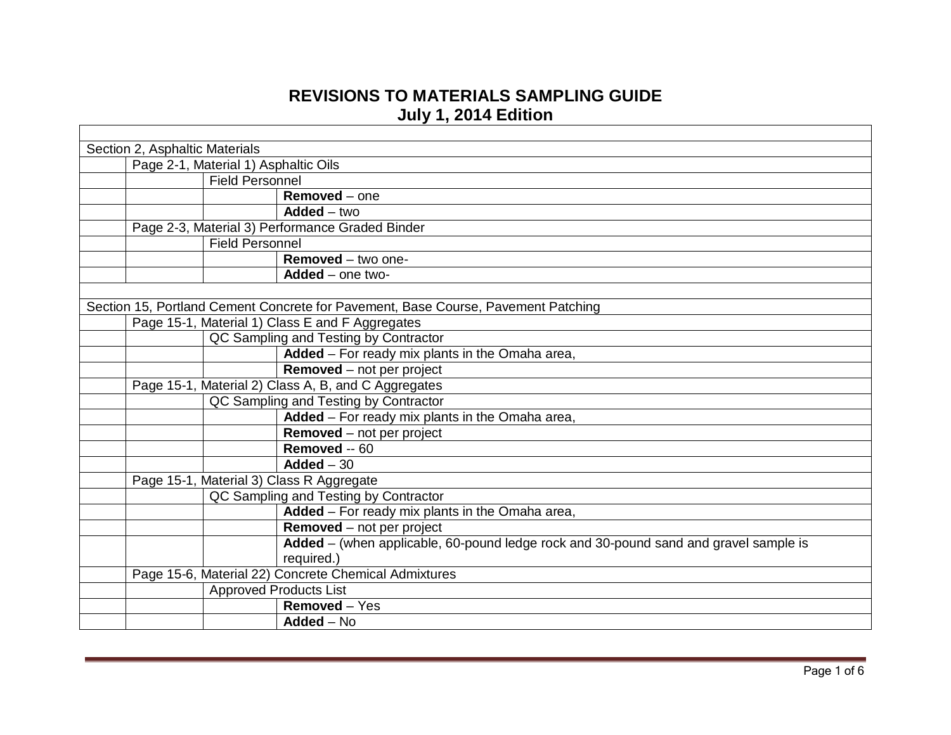## **REVISIONS TO MATERIALS SAMPLING GUIDE July 1, 2014 Edition**

| Section 2, Asphaltic Materials                                                       |
|--------------------------------------------------------------------------------------|
| Page 2-1, Material 1) Asphaltic Oils                                                 |
| <b>Field Personnel</b>                                                               |
| $Removed - one$                                                                      |
| $Added - two$                                                                        |
| Page 2-3, Material 3) Performance Graded Binder                                      |
| <b>Field Personnel</b>                                                               |
| Removed - two one-                                                                   |
| $Added$ – one two-                                                                   |
|                                                                                      |
| Section 15, Portland Cement Concrete for Pavement, Base Course, Pavement Patching    |
| Page 15-1, Material 1) Class E and F Aggregates                                      |
| QC Sampling and Testing by Contractor                                                |
| Added - For ready mix plants in the Omaha area,                                      |
| $R$ emoved – not per project                                                         |
| Page 15-1, Material 2) Class A, B, and C Aggregates                                  |
| QC Sampling and Testing by Contractor                                                |
| Added - For ready mix plants in the Omaha area,                                      |
| <b>Removed</b> – not per project                                                     |
| Removed -- 60                                                                        |
| $Added - 30$                                                                         |
| Page 15-1, Material 3) Class R Aggregate                                             |
| QC Sampling and Testing by Contractor                                                |
| Added - For ready mix plants in the Omaha area,                                      |
| <b>Removed</b> – not per project                                                     |
| Added - (when applicable, 60-pound ledge rock and 30-pound sand and gravel sample is |
| required.)                                                                           |
| Page 15-6, Material 22) Concrete Chemical Admixtures                                 |
| <b>Approved Products List</b>                                                        |
| Removed - Yes                                                                        |
| $Added - No$                                                                         |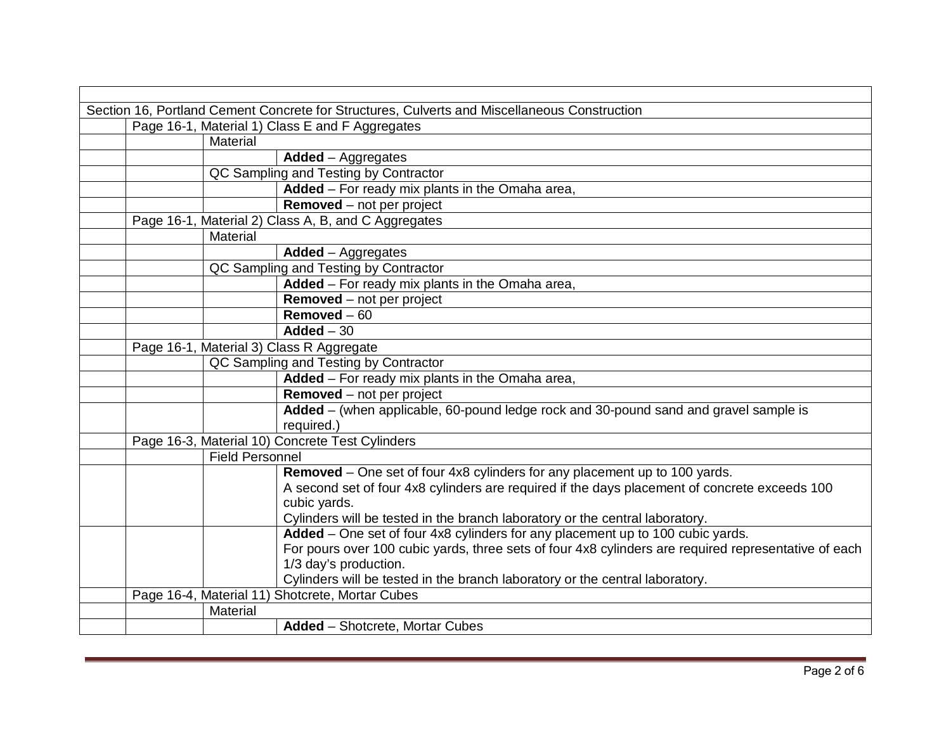| Section 16, Portland Cement Concrete for Structures, Culverts and Miscellaneous Construction |                        |                                                                                                      |
|----------------------------------------------------------------------------------------------|------------------------|------------------------------------------------------------------------------------------------------|
|                                                                                              |                        | Page 16-1, Material 1) Class E and F Aggregates                                                      |
|                                                                                              | Material               |                                                                                                      |
|                                                                                              |                        | $Added - Aggregates$                                                                                 |
|                                                                                              |                        | QC Sampling and Testing by Contractor                                                                |
|                                                                                              |                        | Added - For ready mix plants in the Omaha area,                                                      |
|                                                                                              |                        | Removed - not per project                                                                            |
|                                                                                              |                        | Page 16-1, Material 2) Class A, B, and C Aggregates                                                  |
|                                                                                              | Material               |                                                                                                      |
|                                                                                              |                        | <b>Added</b> – Aggregates                                                                            |
|                                                                                              |                        | QC Sampling and Testing by Contractor                                                                |
|                                                                                              |                        | Added - For ready mix plants in the Omaha area,                                                      |
|                                                                                              |                        | <b>Removed</b> – not per project                                                                     |
|                                                                                              |                        | $Removed - 60$                                                                                       |
|                                                                                              |                        | $Added - 30$                                                                                         |
|                                                                                              |                        | Page 16-1, Material 3) Class R Aggregate                                                             |
|                                                                                              |                        | QC Sampling and Testing by Contractor                                                                |
|                                                                                              |                        | Added - For ready mix plants in the Omaha area,                                                      |
|                                                                                              |                        | <b>Removed</b> – not per project                                                                     |
|                                                                                              |                        | Added – (when applicable, 60-pound ledge rock and 30-pound sand and gravel sample is                 |
|                                                                                              |                        | required.)                                                                                           |
|                                                                                              |                        | Page 16-3, Material 10) Concrete Test Cylinders                                                      |
|                                                                                              | <b>Field Personnel</b> |                                                                                                      |
|                                                                                              |                        | Removed – One set of four 4x8 cylinders for any placement up to 100 yards.                           |
|                                                                                              |                        | A second set of four 4x8 cylinders are required if the days placement of concrete exceeds 100        |
|                                                                                              |                        | cubic yards.                                                                                         |
|                                                                                              |                        | Cylinders will be tested in the branch laboratory or the central laboratory.                         |
|                                                                                              |                        | Added - One set of four 4x8 cylinders for any placement up to 100 cubic yards.                       |
|                                                                                              |                        | For pours over 100 cubic yards, three sets of four 4x8 cylinders are required representative of each |
|                                                                                              |                        | 1/3 day's production.                                                                                |
|                                                                                              |                        | Cylinders will be tested in the branch laboratory or the central laboratory.                         |
|                                                                                              |                        | Page 16-4, Material 11) Shotcrete, Mortar Cubes                                                      |
|                                                                                              | Material               |                                                                                                      |
|                                                                                              |                        | <b>Added</b> - Shotcrete, Mortar Cubes                                                               |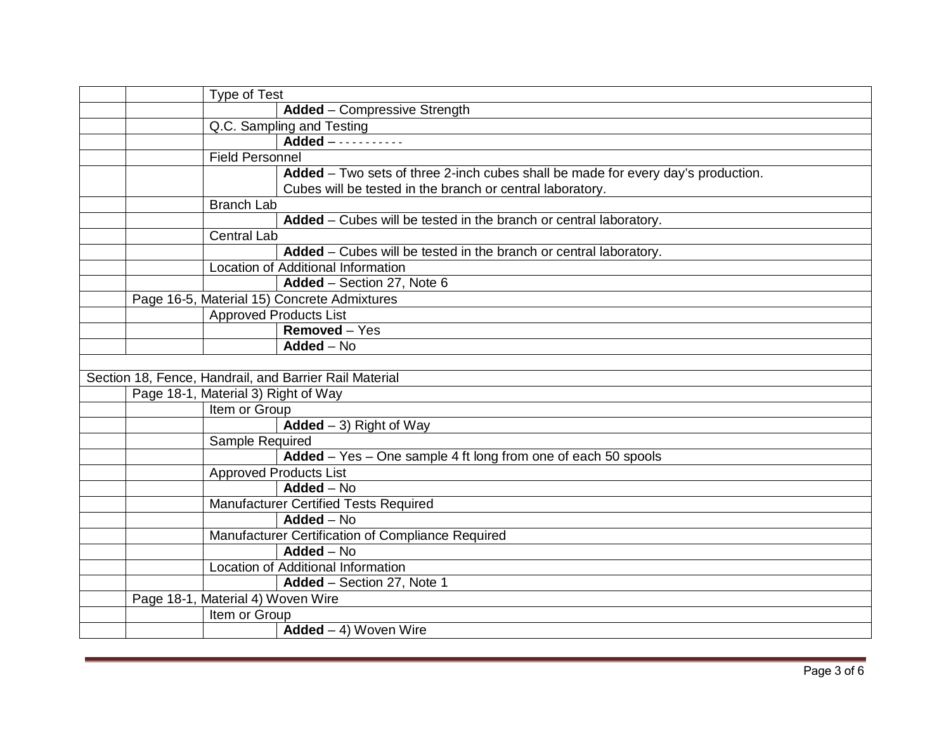|  | <b>Type of Test</b>                                                              |
|--|----------------------------------------------------------------------------------|
|  | Added - Compressive Strength                                                     |
|  | Q.C. Sampling and Testing                                                        |
|  |                                                                                  |
|  | <b>Field Personnel</b>                                                           |
|  | Added - Two sets of three 2-inch cubes shall be made for every day's production. |
|  | Cubes will be tested in the branch or central laboratory.                        |
|  | <b>Branch Lab</b>                                                                |
|  | Added - Cubes will be tested in the branch or central laboratory.                |
|  | <b>Central Lab</b>                                                               |
|  | Added - Cubes will be tested in the branch or central laboratory.                |
|  | Location of Additional Information                                               |
|  | Added - Section 27, Note 6                                                       |
|  | Page 16-5, Material 15) Concrete Admixtures                                      |
|  | <b>Approved Products List</b>                                                    |
|  | Removed $-\overline{Yes}$                                                        |
|  | Added - No                                                                       |
|  |                                                                                  |
|  | Section 18, Fence, Handrail, and Barrier Rail Material                           |
|  | Page 18-1, Material 3) Right of Way                                              |
|  | Item or Group                                                                    |
|  | Added $-3$ ) Right of Way                                                        |
|  | Sample Required                                                                  |
|  | Added - Yes - One sample 4 ft long from one of each 50 spools                    |
|  | <b>Approved Products List</b>                                                    |
|  | Added - No                                                                       |
|  | <b>Manufacturer Certified Tests Required</b>                                     |
|  | Added - No                                                                       |
|  | Manufacturer Certification of Compliance Required                                |
|  | $Added - No$                                                                     |
|  | <b>Location of Additional Information</b>                                        |
|  | Added - Section 27, Note 1                                                       |
|  | Page 18-1, Material 4) Woven Wire                                                |
|  | Item or Group                                                                    |
|  | $Added - 4)$ Woven Wire                                                          |
|  |                                                                                  |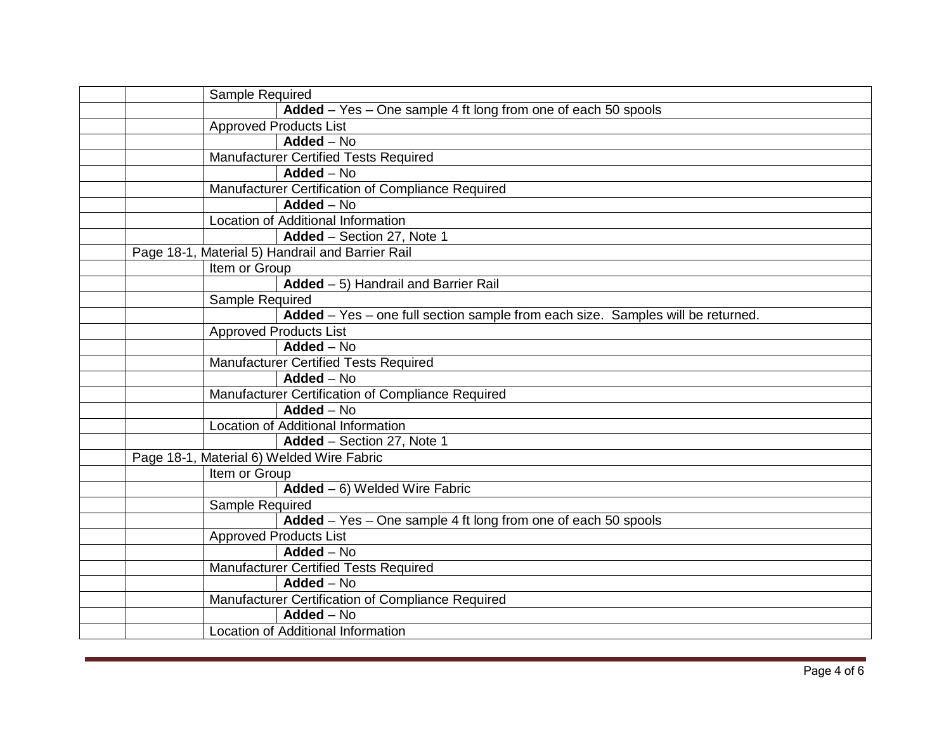| Sample Required                                                                 |
|---------------------------------------------------------------------------------|
| Added – Yes – One sample 4 ft long from one of each 50 spools                   |
| <b>Approved Products List</b>                                                   |
| Added - No                                                                      |
| Manufacturer Certified Tests Required                                           |
| Added - No                                                                      |
| Manufacturer Certification of Compliance Required                               |
| $Added - No$                                                                    |
| Location of Additional Information                                              |
| Added - Section 27, Note 1                                                      |
| Page 18-1, Material 5) Handrail and Barrier Rail                                |
| Item or Group                                                                   |
| Added - 5) Handrail and Barrier Rail                                            |
| Sample Required                                                                 |
| Added - Yes - one full section sample from each size. Samples will be returned. |
| <b>Approved Products List</b>                                                   |
| Added - No                                                                      |
| Manufacturer Certified Tests Required                                           |
| $Added - No$                                                                    |
| Manufacturer Certification of Compliance Required                               |
| $Added - No$                                                                    |
| Location of Additional Information                                              |
| Added - Section 27, Note 1                                                      |
| Page 18-1, Material 6) Welded Wire Fabric                                       |
| Item or Group                                                                   |
| $Added - 6)$ Welded Wire Fabric                                                 |
| Sample Required                                                                 |
| Added - Yes - One sample 4 ft long from one of each 50 spools                   |
| <b>Approved Products List</b>                                                   |
| Added - No                                                                      |
| <b>Manufacturer Certified Tests Required</b>                                    |
| $Added - No$                                                                    |
| Manufacturer Certification of Compliance Required                               |
| Added - No                                                                      |
| Location of Additional Information                                              |
|                                                                                 |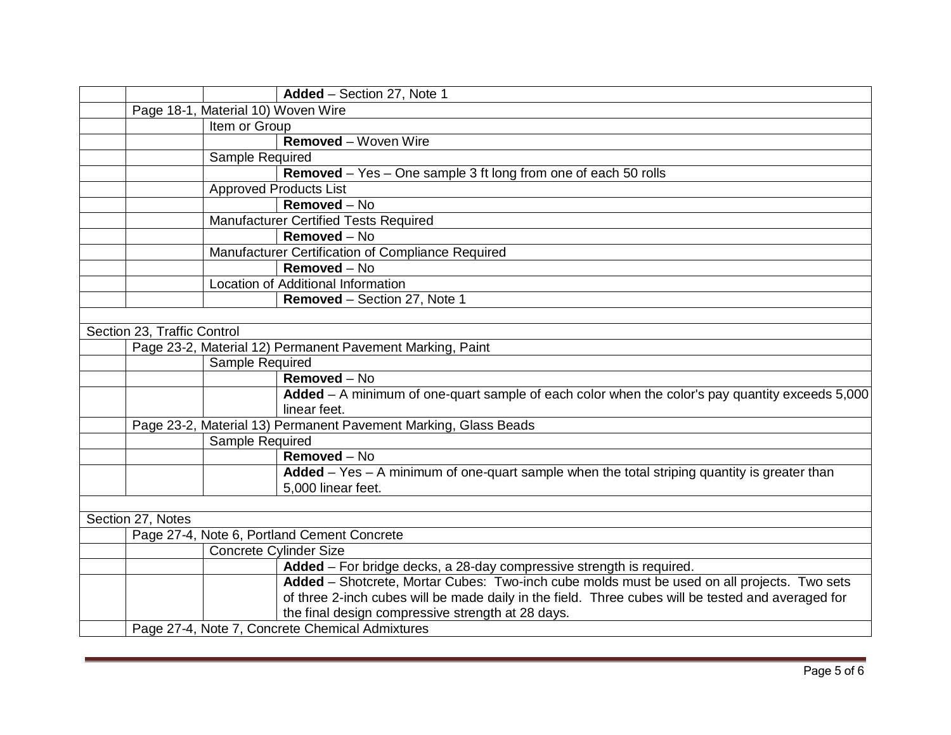|                             |                                    | Added - Section 27, Note 1                                                                         |
|-----------------------------|------------------------------------|----------------------------------------------------------------------------------------------------|
|                             | Page 18-1, Material 10) Woven Wire |                                                                                                    |
|                             | Item or Group                      |                                                                                                    |
|                             |                                    | <b>Removed</b> – Woven Wire                                                                        |
|                             | <b>Sample Required</b>             |                                                                                                    |
|                             |                                    | <b>Removed</b> – Yes – One sample 3 ft long from one of each 50 rolls                              |
|                             |                                    | <b>Approved Products List</b>                                                                      |
|                             |                                    | Removed - No                                                                                       |
|                             |                                    | Manufacturer Certified Tests Required                                                              |
|                             |                                    | Removed - No                                                                                       |
|                             |                                    | Manufacturer Certification of Compliance Required                                                  |
|                             |                                    | $Removed - No$                                                                                     |
|                             |                                    | Location of Additional Information                                                                 |
|                             |                                    | Removed - Section 27, Note 1                                                                       |
|                             |                                    |                                                                                                    |
| Section 23, Traffic Control |                                    |                                                                                                    |
|                             |                                    | Page 23-2, Material 12) Permanent Pavement Marking, Paint                                          |
|                             | Sample Required                    |                                                                                                    |
|                             |                                    | Removed - No                                                                                       |
|                             |                                    | Added - A minimum of one-quart sample of each color when the color's pay quantity exceeds 5,000    |
|                             |                                    | linear feet.                                                                                       |
|                             |                                    | Page 23-2, Material 13) Permanent Pavement Marking, Glass Beads                                    |
|                             | Sample Required                    |                                                                                                    |
|                             |                                    | Removed - No                                                                                       |
|                             |                                    | Added $-$ Yes $-$ A minimum of one-quart sample when the total striping quantity is greater than   |
|                             |                                    | 5,000 linear feet.                                                                                 |
|                             |                                    |                                                                                                    |
| Section 27, Notes           |                                    |                                                                                                    |
|                             |                                    | Page 27-4, Note 6, Portland Cement Concrete                                                        |
|                             |                                    | <b>Concrete Cylinder Size</b>                                                                      |
|                             |                                    | Added - For bridge decks, a 28-day compressive strength is required.                               |
|                             |                                    | Added - Shotcrete, Mortar Cubes: Two-inch cube molds must be used on all projects. Two sets        |
|                             |                                    | of three 2-inch cubes will be made daily in the field. Three cubes will be tested and averaged for |
|                             |                                    | the final design compressive strength at 28 days.                                                  |
|                             |                                    | Page 27-4, Note 7, Concrete Chemical Admixtures                                                    |